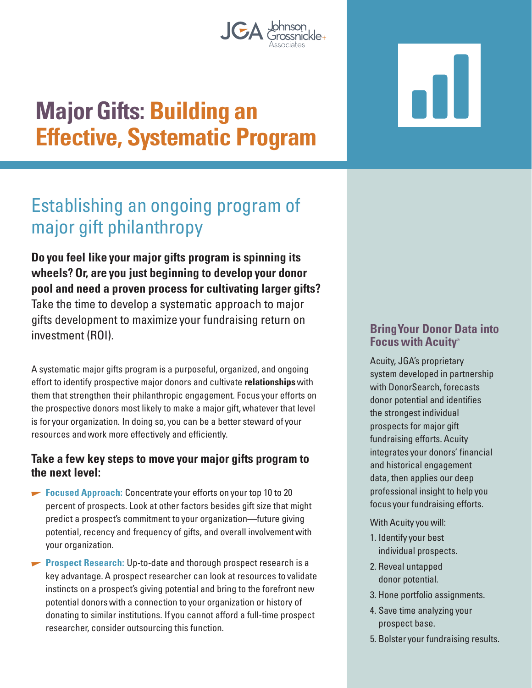# **Major Gifts: Building an Effective, Systematic Program**

## Establishing an ongoing program of major gift philanthropy

**Do you feel like your major gifts program is spinning its wheels? Or, are you just beginning to develop your donor pool and need a proven process for cultivating larger gifts?**  Take the time to develop a systematic approach to major gifts development to maximize your fundraising return on investment (ROI).

A systematic major gifts program is a purposeful, organized, and ongoing effort to identify prospective major donors and cultivate **relationships** with them that strengthen their philanthropic engagement. Focus your efforts on the prospective donors most likely to make a major gift, whatever that level is for your organization. In doing so, you can be a better steward of your resources and work more effectively and efficiently.

#### **Take a few key steps to move your major gifts program to the next level:**

- **Focused Approach:** Concentrate your efforts on your top 10 to 20 percent of prospects. Look at other factors besides gift size that might predict a prospect's commitment to your organization—future giving potential, recency and frequency of gifts, and overall involvement with your organization.
- **Prospect Research:** Up-to-date and thorough prospect research is a key advantage. A prospect researcher can look at resources to validate instincts on a prospect's giving potential and bring to the forefront new potential donors with a connection to your organization or history of donating to similar institutions. If you cannot afford a full-time prospect researcher, consider outsourcing this function.

#### **Bring Your Donor Data into Focus with Acuity®**

Acuity, JGA's proprietary system developed in partnership with DonorSearch, forecasts donor potential and identifies the strongest individual prospects for major gift fundraising efforts. Acuity integrates your donors' financial and historical engagement data, then applies our deep professional insight to help you focus your fundraising efforts.

With Acuity you will:

- 1. Identify your best individual prospects.
- 2. Reveal untapped donor potential.
- 3. Hone portfolio assignments.
- 4. Save time analyzing your prospect base.
- 5. Bolster your fundraising results.